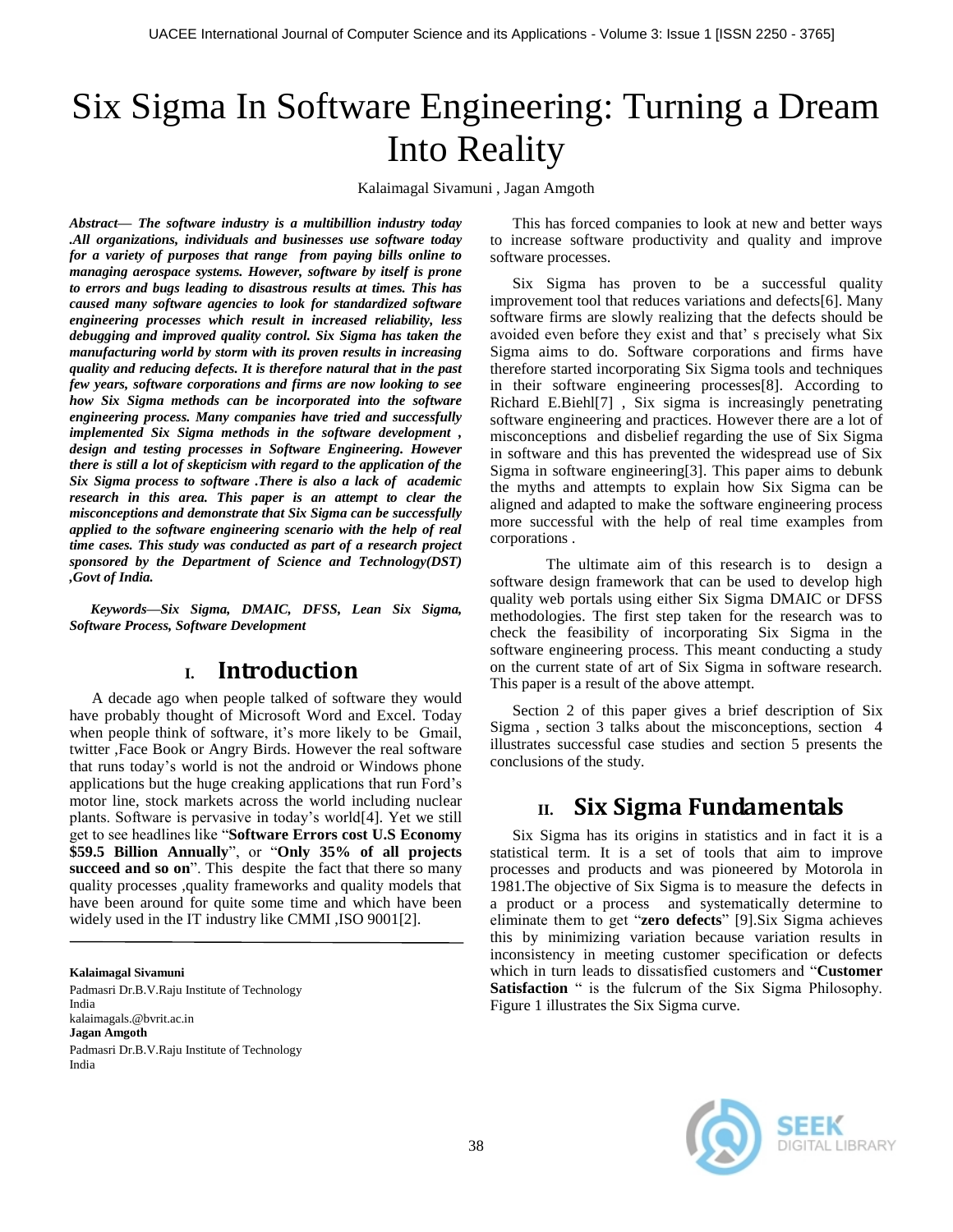# Six Sigma In Software Engineering: Turning a Dream Into Reality

Kalaimagal Sivamuni , Jagan Amgoth

*Abstract— The software industry is a multibillion industry today .All organizations, individuals and businesses use software today for a variety of purposes that range from paying bills online to managing aerospace systems. However, software by itself is prone to errors and bugs leading to disastrous results at times. This has caused many software agencies to look for standardized software engineering processes which result in increased reliability, less debugging and improved quality control. Six Sigma has taken the manufacturing world by storm with its proven results in increasing quality and reducing defects. It is therefore natural that in the past few years, software corporations and firms are now looking to see how Six Sigma methods can be incorporated into the software engineering process. Many companies have tried and successfully implemented Six Sigma methods in the software development , design and testing processes in Software Engineering. However there is still a lot of skepticism with regard to the application of the Six Sigma process to software .There is also a lack of academic research in this area. This paper is an attempt to clear the misconceptions and demonstrate that Six Sigma can be successfully applied to the software engineering scenario with the help of real time cases. This study was conducted as part of a research project sponsored by the Department of Science and Technology(DST) ,Govt of India.*

*Keywords—Six Sigma, DMAIC, DFSS, Lean Six Sigma, Software Process, Software Development*

### **I. Introduction**

A decade ago when people talked of software they would have probably thought of Microsoft Word and Excel. Today when people think of software, it's more likely to be Gmail, twitter ,Face Book or Angry Birds. However the real software that runs today's world is not the android or Windows phone applications but the huge creaking applications that run Ford's motor line, stock markets across the world including nuclear plants. Software is pervasive in today's world[4]. Yet we still get to see headlines like "**Software Errors cost U.S Economy \$59.5 Billion Annually**", or "**Only 35% of all projects**  succeed and so on". This despite the fact that there so many quality processes ,quality frameworks and quality models that have been around for quite some time and which have been widely used in the IT industry like CMMI ,ISO 9001[2].

**Kalaimagal Sivamuni**

Padmasri Dr.B.V.Raju Institute of Technology India kalaimagals.@bvrit.ac.in **Jagan Amgoth** Padmasri Dr.B.V.Raju Institute of Technology India

This has forced companies to look at new and better ways to increase software productivity and quality and improve software processes.

Six Sigma has proven to be a successful quality improvement tool that reduces variations and defects[6]. Many software firms are slowly realizing that the defects should be avoided even before they exist and that' s precisely what Six Sigma aims to do. Software corporations and firms have therefore started incorporating Six Sigma tools and techniques in their software engineering processes[8]. According to Richard E.Biehl[7] , Six sigma is increasingly penetrating software engineering and practices. However there are a lot of misconceptions and disbelief regarding the use of Six Sigma in software and this has prevented the widespread use of Six Sigma in software engineering[3]. This paper aims to debunk the myths and attempts to explain how Six Sigma can be aligned and adapted to make the software engineering process more successful with the help of real time examples from corporations .

The ultimate aim of this research is to design a software design framework that can be used to develop high quality web portals using either Six Sigma DMAIC or DFSS methodologies. The first step taken for the research was to check the feasibility of incorporating Six Sigma in the software engineering process. This meant conducting a study on the current state of art of Six Sigma in software research. This paper is a result of the above attempt.

Section 2 of this paper gives a brief description of Six Sigma , section 3 talks about the misconceptions, section 4 illustrates successful case studies and section 5 presents the conclusions of the study.

# **II. Six Sigma Fundamentals**

Six Sigma has its origins in statistics and in fact it is a statistical term. It is a set of tools that aim to improve processes and products and was pioneered by Motorola in 1981.The objective of Six Sigma is to measure the defects in a product or a process and systematically determine to eliminate them to get "**zero defects**" [9].Six Sigma achieves this by minimizing variation because variation results in inconsistency in meeting customer specification or defects which in turn leads to dissatisfied customers and "**Customer Satisfaction** " is the fulcrum of the Six Sigma Philosophy. Figure 1 illustrates the Six Sigma curve.

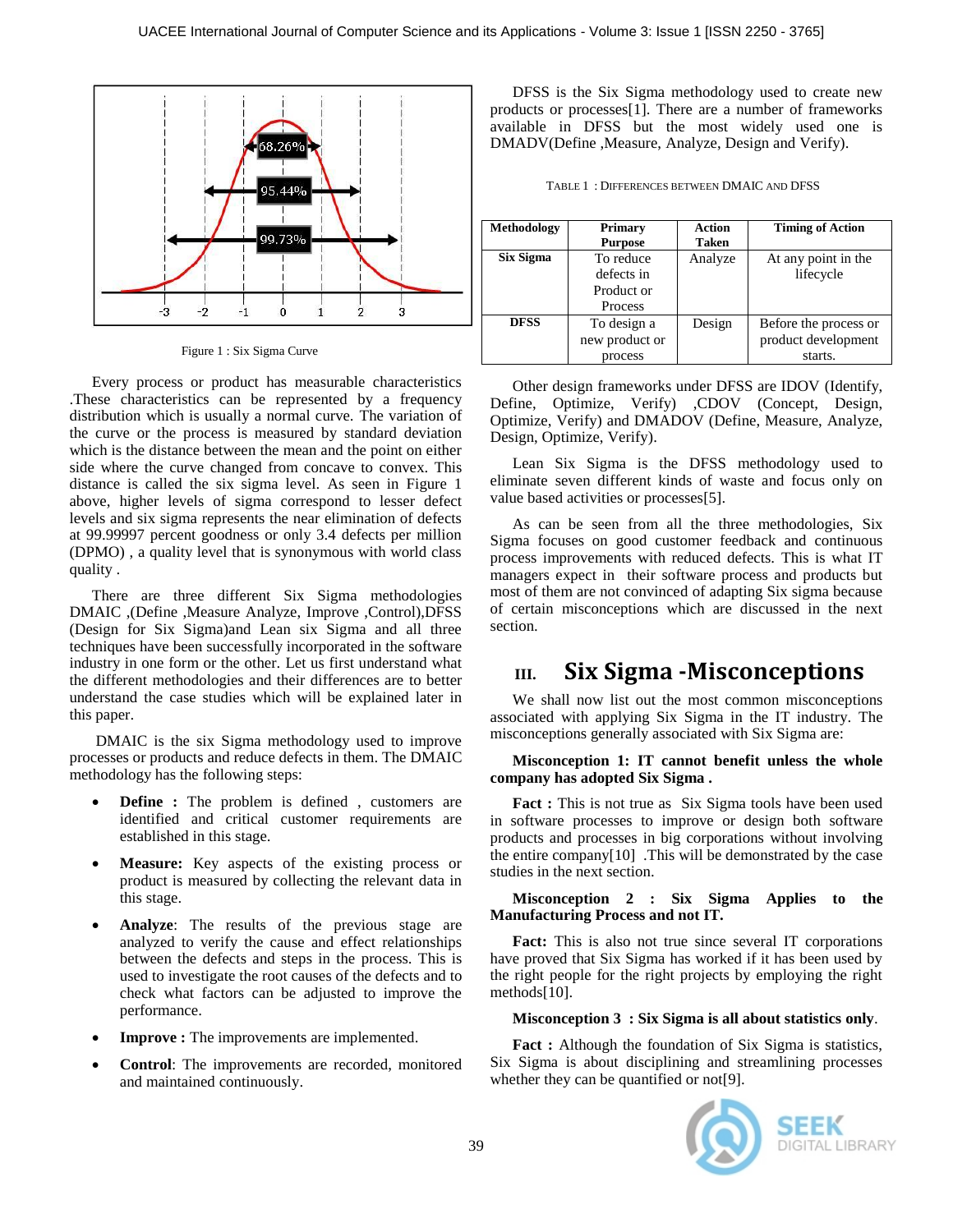

Figure 1 : Six Sigma Curve

Every process or product has measurable characteristics .These characteristics can be represented by a frequency distribution which is usually a normal curve. The variation of the curve or the process is measured by standard deviation which is the distance between the mean and the point on either side where the curve changed from concave to convex. This distance is called the six sigma level. As seen in Figure 1 above, higher levels of sigma correspond to lesser defect levels and six sigma represents the near elimination of defects at 99.99997 percent goodness or only 3.4 defects per million (DPMO) , a quality level that is synonymous with world class quality .

There are three different Six Sigma methodologies DMAIC ,(Define ,Measure Analyze, Improve ,Control),DFSS (Design for Six Sigma)and Lean six Sigma and all three techniques have been successfully incorporated in the software industry in one form or the other. Let us first understand what the different methodologies and their differences are to better understand the case studies which will be explained later in this paper.

DMAIC is the six Sigma methodology used to improve processes or products and reduce defects in them. The DMAIC methodology has the following steps:

- **Define :** The problem is defined , customers are identified and critical customer requirements are established in this stage.
- **Measure:** Key aspects of the existing process or product is measured by collecting the relevant data in this stage.
- **Analyze**: The results of the previous stage are analyzed to verify the cause and effect relationships between the defects and steps in the process. This is used to investigate the root causes of the defects and to check what factors can be adjusted to improve the performance.
- **Improve :** The improvements are implemented.
- **Control**: The improvements are recorded, monitored and maintained continuously.

DFSS is the Six Sigma methodology used to create new products or processes[1]. There are a number of frameworks available in DFSS but the most widely used one is DMADV(Define ,Measure, Analyze, Design and Verify).

| TABLE 1: DIFFERENCES BETWEEN DMAIC AND DFSS |  |
|---------------------------------------------|--|
|---------------------------------------------|--|

| <b>Methodology</b> | <b>Primary</b> | <b>Action</b> | <b>Timing of Action</b> |
|--------------------|----------------|---------------|-------------------------|
|                    | <b>Purpose</b> | Taken         |                         |
| Six Sigma          | To reduce      | Analyze       | At any point in the     |
|                    | defects in     |               | lifecycle               |
|                    | Product or     |               |                         |
|                    | Process        |               |                         |
| <b>DFSS</b>        | To design a    | Design        | Before the process or   |
|                    | new product or |               | product development     |
|                    | process        |               | starts.                 |

Other design frameworks under DFSS are IDOV (Identify, Define, Optimize, Verify) ,CDOV (Concept, Design, Optimize, Verify) and DMADOV (Define, Measure, Analyze, Design, Optimize, Verify).

Lean Six Sigma is the DFSS methodology used to eliminate seven different kinds of waste and focus only on value based activities or processes[5].

As can be seen from all the three methodologies, Six Sigma focuses on good customer feedback and continuous process improvements with reduced defects. This is what IT managers expect in their software process and products but most of them are not convinced of adapting Six sigma because of certain misconceptions which are discussed in the next section.

# **III. Six Sigma -Misconceptions**

We shall now list out the most common misconceptions associated with applying Six Sigma in the IT industry. The misconceptions generally associated with Six Sigma are:

#### **Misconception 1: IT cannot benefit unless the whole company has adopted Six Sigma .**

**Fact :** This is not true as Six Sigma tools have been used in software processes to improve or design both software products and processes in big corporations without involving the entire company[10] .This will be demonstrated by the case studies in the next section.

**Misconception 2 : Six Sigma Applies to the Manufacturing Process and not IT.**

**Fact:** This is also not true since several IT corporations have proved that Six Sigma has worked if it has been used by the right people for the right projects by employing the right methods[10].

#### **Misconception 3 : Six Sigma is all about statistics only**.

Fact : Although the foundation of Six Sigma is statistics, Six Sigma is about disciplining and streamlining processes whether they can be quantified or not[9].

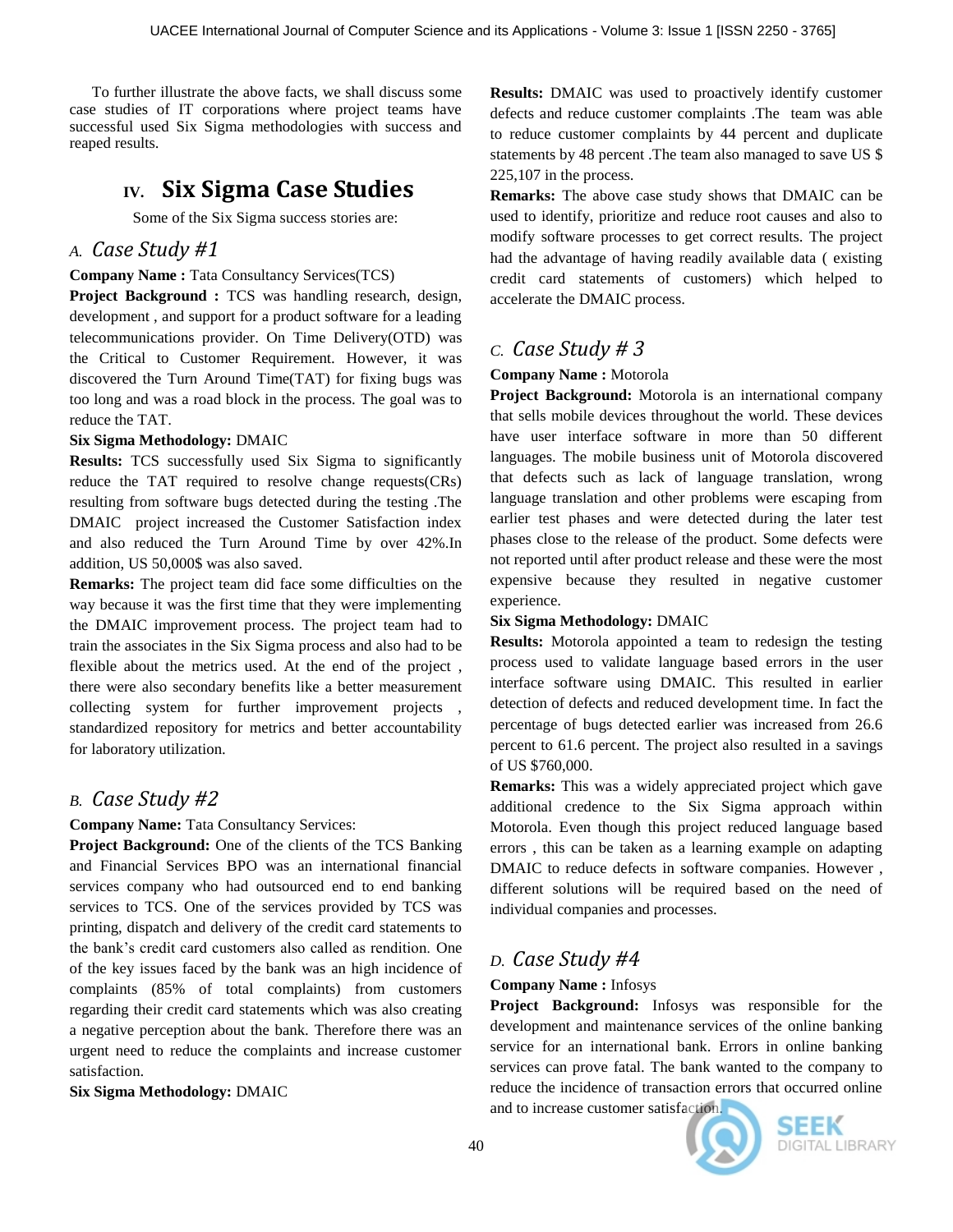To further illustrate the above facts, we shall discuss some case studies of IT corporations where project teams have successful used Six Sigma methodologies with success and reaped results.

# **IV. Six Sigma Case Studies**

Some of the Six Sigma success stories are:

### *A. Case Study #1*

### **Company Name :** Tata Consultancy Services(TCS)

**Project Background :** TCS was handling research, design, development , and support for a product software for a leading telecommunications provider. On Time Delivery(OTD) was the Critical to Customer Requirement. However, it was discovered the Turn Around Time(TAT) for fixing bugs was too long and was a road block in the process. The goal was to reduce the TAT.

### **Six Sigma Methodology:** DMAIC

**Results:** TCS successfully used Six Sigma to significantly reduce the TAT required to resolve change requests(CRs) resulting from software bugs detected during the testing .The DMAIC project increased the Customer Satisfaction index and also reduced the Turn Around Time by over 42%.In addition, US 50,000\$ was also saved.

**Remarks:** The project team did face some difficulties on the way because it was the first time that they were implementing the DMAIC improvement process. The project team had to train the associates in the Six Sigma process and also had to be flexible about the metrics used. At the end of the project , there were also secondary benefits like a better measurement collecting system for further improvement projects , standardized repository for metrics and better accountability for laboratory utilization.

### *B. Case Study #2*

**Company Name:** Tata Consultancy Services:

**Project Background:** One of the clients of the TCS Banking and Financial Services BPO was an international financial services company who had outsourced end to end banking services to TCS. One of the services provided by TCS was printing, dispatch and delivery of the credit card statements to the bank's credit card customers also called as rendition. One of the key issues faced by the bank was an high incidence of complaints (85% of total complaints) from customers regarding their credit card statements which was also creating a negative perception about the bank. Therefore there was an urgent need to reduce the complaints and increase customer satisfaction.

**Six Sigma Methodology:** DMAIC

**Results:** DMAIC was used to proactively identify customer defects and reduce customer complaints .The team was able to reduce customer complaints by 44 percent and duplicate statements by 48 percent .The team also managed to save US \$ 225,107 in the process.

**Remarks:** The above case study shows that DMAIC can be used to identify, prioritize and reduce root causes and also to modify software processes to get correct results. The project had the advantage of having readily available data ( existing credit card statements of customers) which helped to accelerate the DMAIC process.

## *C. Case Study # 3*

### **Company Name :** Motorola

**Project Background:** Motorola is an international company that sells mobile devices throughout the world. These devices have user interface software in more than 50 different languages. The mobile business unit of Motorola discovered that defects such as lack of language translation, wrong language translation and other problems were escaping from earlier test phases and were detected during the later test phases close to the release of the product. Some defects were not reported until after product release and these were the most expensive because they resulted in negative customer experience.

### **Six Sigma Methodology:** DMAIC

**Results:** Motorola appointed a team to redesign the testing process used to validate language based errors in the user interface software using DMAIC. This resulted in earlier detection of defects and reduced development time. In fact the percentage of bugs detected earlier was increased from 26.6 percent to 61.6 percent. The project also resulted in a savings of US \$760,000.

**Remarks:** This was a widely appreciated project which gave additional credence to the Six Sigma approach within Motorola. Even though this project reduced language based errors , this can be taken as a learning example on adapting DMAIC to reduce defects in software companies. However , different solutions will be required based on the need of individual companies and processes.

# *D. Case Study #4*

### **Company Name :** Infosys

**Project Background:** Infosys was responsible for the development and maintenance services of the online banking service for an international bank. Errors in online banking services can prove fatal. The bank wanted to the company to reduce the incidence of transaction errors that occurred online and to increase customer satisfaction.



SEEK **DIGITAL LIBRARY**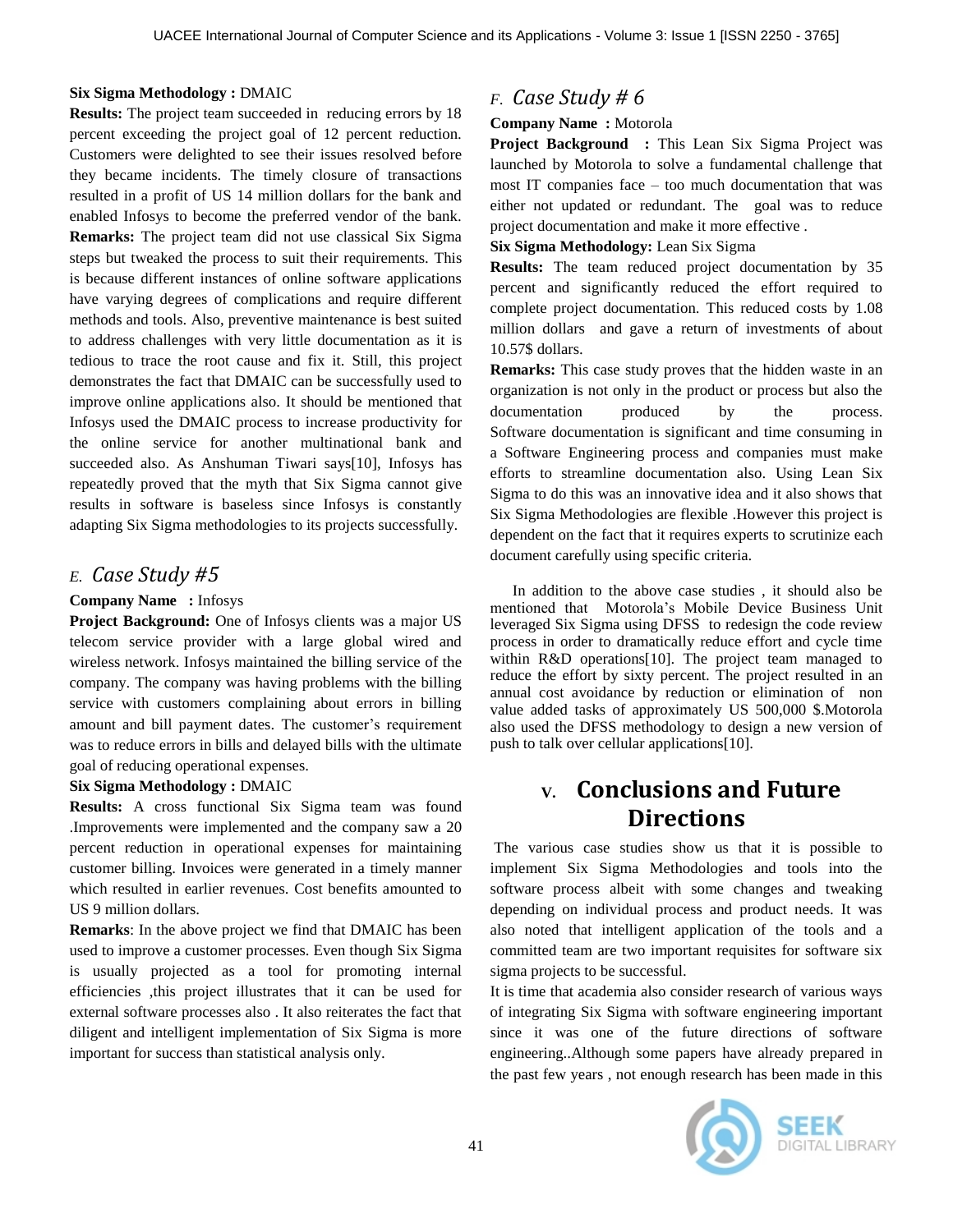#### **Six Sigma Methodology :** DMAIC

**Results:** The project team succeeded in reducing errors by 18 percent exceeding the project goal of 12 percent reduction. Customers were delighted to see their issues resolved before they became incidents. The timely closure of transactions resulted in a profit of US 14 million dollars for the bank and enabled Infosys to become the preferred vendor of the bank. **Remarks:** The project team did not use classical Six Sigma steps but tweaked the process to suit their requirements. This is because different instances of online software applications have varying degrees of complications and require different methods and tools. Also, preventive maintenance is best suited to address challenges with very little documentation as it is tedious to trace the root cause and fix it. Still, this project demonstrates the fact that DMAIC can be successfully used to improve online applications also. It should be mentioned that Infosys used the DMAIC process to increase productivity for the online service for another multinational bank and succeeded also. As Anshuman Tiwari says[10], Infosys has repeatedly proved that the myth that Six Sigma cannot give results in software is baseless since Infosys is constantly adapting Six Sigma methodologies to its projects successfully.

### *E. Case Study #5*

### **Company Name :** Infosys

**Project Background:** One of Infosys clients was a major US telecom service provider with a large global wired and wireless network. Infosys maintained the billing service of the company. The company was having problems with the billing service with customers complaining about errors in billing amount and bill payment dates. The customer's requirement was to reduce errors in bills and delayed bills with the ultimate goal of reducing operational expenses.

#### **Six Sigma Methodology :** DMAIC

**Results:** A cross functional Six Sigma team was found .Improvements were implemented and the company saw a 20 percent reduction in operational expenses for maintaining customer billing. Invoices were generated in a timely manner which resulted in earlier revenues. Cost benefits amounted to US 9 million dollars.

**Remarks**: In the above project we find that DMAIC has been used to improve a customer processes. Even though Six Sigma is usually projected as a tool for promoting internal efficiencies ,this project illustrates that it can be used for external software processes also . It also reiterates the fact that diligent and intelligent implementation of Six Sigma is more important for success than statistical analysis only.

### *F. Case Study # 6*

### **Company Name :** Motorola

**Project Background :** This Lean Six Sigma Project was launched by Motorola to solve a fundamental challenge that most IT companies face – too much documentation that was either not updated or redundant. The goal was to reduce project documentation and make it more effective .

**Six Sigma Methodology:** Lean Six Sigma

**Results:** The team reduced project documentation by 35 percent and significantly reduced the effort required to complete project documentation. This reduced costs by 1.08 million dollars and gave a return of investments of about 10.57\$ dollars.

**Remarks:** This case study proves that the hidden waste in an organization is not only in the product or process but also the documentation produced by the process. Software documentation is significant and time consuming in a Software Engineering process and companies must make efforts to streamline documentation also. Using Lean Six Sigma to do this was an innovative idea and it also shows that Six Sigma Methodologies are flexible .However this project is dependent on the fact that it requires experts to scrutinize each document carefully using specific criteria.

In addition to the above case studies , it should also be mentioned that Motorola's Mobile Device Business Unit leveraged Six Sigma using DFSS to redesign the code review process in order to dramatically reduce effort and cycle time within R&D operations[10]. The project team managed to reduce the effort by sixty percent. The project resulted in an annual cost avoidance by reduction or elimination of non value added tasks of approximately US 500,000 \$.Motorola also used the DFSS methodology to design a new version of push to talk over cellular applications[10].

# **V. Conclusions and Future Directions**

The various case studies show us that it is possible to implement Six Sigma Methodologies and tools into the software process albeit with some changes and tweaking depending on individual process and product needs. It was also noted that intelligent application of the tools and a committed team are two important requisites for software six sigma projects to be successful.

It is time that academia also consider research of various ways of integrating Six Sigma with software engineering important since it was one of the future directions of software engineering..Although some papers have already prepared in the past few years , not enough research has been made in this